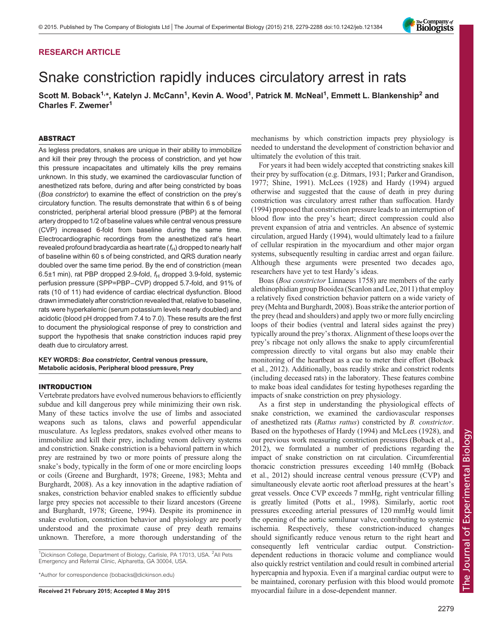# RESEARCH ARTICLE

# Snake constriction rapidly induces circulatory arrest in rats

Scott M. Boback<sup>1,\*</sup>, Katelyn J. McCann<sup>1</sup>, Kevin A. Wood<sup>1</sup>, Patrick M. McNeal<sup>1</sup>, Emmett L. Blankenship<sup>2</sup> and Charles F. Zwemer<sup>1</sup>

## ABSTRACT

As legless predators, snakes are unique in their ability to immobilize and kill their prey through the process of constriction, and yet how this pressure incapacitates and ultimately kills the prey remains unknown. In this study, we examined the cardiovascular function of anesthetized rats before, during and after being constricted by boas (Boa constrictor) to examine the effect of constriction on the prey's circulatory function. The results demonstrate that within 6 s of being constricted, peripheral arterial blood pressure (PBP) at the femoral artery dropped to 1/2 of baseline values while central venous pressure (CVP) increased 6-fold from baseline during the same time. Electrocardiographic recordings from the anesthetized rat's heart revealed profound bradycardia as heart rate  $(f_H)$  dropped to nearly half of baseline within 60 s of being constricted, and QRS duration nearly doubled over the same time period. By the end of constriction (mean 6.5 $\pm$ 1 min), rat PBP dropped 2.9-fold,  $f_H$  dropped 3.9-fold, systemic perfusion pressure (SPP=PBP−CVP) dropped 5.7-fold, and 91% of rats (10 of 11) had evidence of cardiac electrical dysfunction. Blood drawn immediately after constriction revealed that, relative to baseline, rats were hyperkalemic (serum potassium levels nearly doubled) and acidotic (blood pH dropped from 7.4 to 7.0). These results are the first to document the physiological response of prey to constriction and support the hypothesis that snake constriction induces rapid prey death due to circulatory arrest.

## KEY WORDS: Boa constrictor, Central venous pressure, Metabolic acidosis, Peripheral blood pressure, Prey

## INTRODUCTION

Vertebrate predators have evolved numerous behaviors to efficiently subdue and kill dangerous prey while minimizing their own risk. Many of these tactics involve the use of limbs and associated weapons such as talons, claws and powerful appendicular musculature. As legless predators, snakes evolved other means to immobilize and kill their prey, including venom delivery systems and constriction. Snake constriction is a behavioral pattern in which prey are restrained by two or more points of pressure along the snake's body, typically in the form of one or more encircling loops or coils ([Greene and Burghardt, 1978; Greene, 1983; Mehta and](#page-8-0) [Burghardt, 2008](#page-8-0)). As a key innovation in the adaptive radiation of snakes, constriction behavior enabled snakes to efficiently subdue large prey species not accessible to their lizard ancestors [\(Greene](#page-8-0) [and Burghardt, 1978; Greene, 1994\)](#page-8-0). Despite its prominence in snake evolution, constriction behavior and physiology are poorly understood and the proximate cause of prey death remains unknown. Therefore, a more thorough understanding of the

<sup>1</sup>Dickinson College, Department of Biology, Carlisle, PA 17013, USA. <sup>2</sup>All Pets Emergency and Referral Clinic, Alpharetta, GA 30004, USA.

\*Author for correspondence [\(bobacks@dickinson.edu\)](mailto:bobacks@dickinson.edu)

mechanisms by which constriction impacts prey physiology is needed to understand the development of constriction behavior and ultimately the evolution of this trait.

For years it had been widely accepted that constricting snakes kill their prey by suffocation (e.g. [Ditmars, 1931;](#page-8-0) [Parker and Grandison,](#page-9-0) [1977; Shine, 1991](#page-9-0)). [McLees \(1928\)](#page-8-0) and [Hardy \(1994\)](#page-8-0) argued otherwise and suggested that the cause of death in prey during constriction was circulatory arrest rather than suffocation. [Hardy](#page-8-0) [\(1994\)](#page-8-0) proposed that constriction pressure leads to an interruption of blood flow into the prey's heart; direct compression could also prevent expansion of atria and ventricles. An absence of systemic circulation, argued [Hardy \(1994\)](#page-8-0), would ultimately lead to a failure of cellular respiration in the myocardium and other major organ systems, subsequently resulting in cardiac arrest and organ failure. Although these arguments were presented two decades ago, researchers have yet to test Hardy's ideas.

Boas (Boa constrictor Linnaeus 1758) are members of the early alethinophidian group Booidea ([Scanlon and Lee, 2011\)](#page-9-0) that employ a relatively fixed constriction behavior pattern on a wide variety of prey ([Mehta and Burghardt, 2008\)](#page-8-0). Boas strike the anterior portion of the prey (head and shoulders) and apply two or more fully encircling loops of their bodies (ventral and lateral sides against the prey) typically around the prey's thorax. Alignment of these loops over the prey's ribcage not only allows the snake to apply circumferential compression directly to vital organs but also may enable their monitoring of the heartbeat as a cue to meter their effort [\(Boback](#page-8-0) [et al., 2012](#page-8-0)). Additionally, boas readily strike and constrict rodents (including deceased rats) in the laboratory. These features combine to make boas ideal candidates for testing hypotheses regarding the impacts of snake constriction on prey physiology.

As a first step in understanding the physiological effects of snake constriction, we examined the cardiovascular responses of anesthetized rats (Rattus rattus) constricted by B. constrictor. Based on the hypotheses of [Hardy \(1994\)](#page-8-0) and McLees (1928), and our previous work measuring constriction pressures [\(Boback et al.,](#page-8-0) [2012\)](#page-8-0), we formulated a number of predictions regarding the impact of snake constriction on rat circulation. Circumferential thoracic constriction pressures exceeding 140 mmHg [\(Boback](#page-8-0) [et al., 2012\)](#page-8-0) should increase central venous pressure (CVP) and simultaneously elevate aortic root afterload pressures at the heart's great vessels. Once CVP exceeds 7 mmHg, right ventricular filling is greatly limited [\(Potts et al., 1998\)](#page-9-0). Similarly, aortic root pressures exceeding arterial pressures of 120 mmHg would limit the opening of the aortic semilunar valve, contributing to systemic ischemia. Respectively, these constriction-induced changes should significantly reduce venous return to the right heart and consequently left ventricular cardiac output. Constrictiondependent reductions in thoracic volume and compliance would also quickly restrict ventilation and could result in combined arterial hypercapnia and hypoxia. Even if a marginal cardiac output were to be maintained, coronary perfusion with this blood would promote Received 21 February 2015; Accepted 8 May 2015 myocardial failure in a dose-dependent manner.

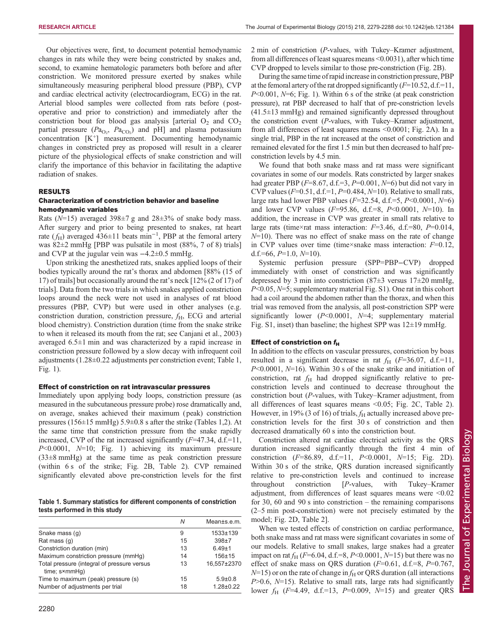Our objectives were, first, to document potential hemodynamic changes in rats while they were being constricted by snakes and, second, to examine hematologic parameters both before and after constriction. We monitored pressure exerted by snakes while simultaneously measuring peripheral blood pressure (PBP), CVP and cardiac electrical activity (electrocardiogram, ECG) in the rat. Arterial blood samples were collected from rats before ( postoperative and prior to constriction) and immediately after the constriction bout for blood gas analysis [arterial  $O_2$  and  $CO_2$ ] partial pressure  $(Pa_{O_2}, Pa_{CO_2})$  and pH] and plasma potassium concentration [K<sup>+</sup> ] measurement. Documenting hemodynamic changes in constricted prey as proposed will result in a clearer picture of the physiological effects of snake constriction and will clarify the importance of this behavior in facilitating the adaptive radiation of snakes.

## RESULTS

## Characterization of constriction behavior and baseline hemodynamic variables

Rats ( $N=15$ ) averaged 398 $\pm$ 7 g and 28 $\pm$ 3% of snake body mass. After surgery and prior to being presented to snakes, rat heart rate ( $f_H$ ) averaged 436±11 beats min<sup>-1</sup>, PBP at the femoral artery was 82±2 mmHg [PBP was pulsatile in most (88%, 7 of 8) trials] and CVP at the jugular vein was −4.2±0.5 mmHg.

Upon striking the anesthetized rats, snakes applied loops of their bodies typically around the rat's thorax and abdomen [88% (15 of 17) of trails] but occasionally around the rat's neck [12% (2 of 17) of trials]. Data from the two trials in which snakes applied constriction loops around the neck were not used in analyses of rat blood pressures (PBP, CVP) but were used in other analyses (e.g. constriction duration, constriction pressure,  $f_{\rm H}$ , ECG and arterial blood chemistry). Constriction duration (time from the snake strike to when it released its mouth from the rat; see [Canjani et al., 2003\)](#page-8-0) averaged 6.5±1 min and was characterized by a rapid increase in constriction pressure followed by a slow decay with infrequent coil adjustments (1.28±0.22 adjustments per constriction event; Table 1, [Fig. 1](#page-2-0)).

## Effect of constriction on rat intravascular pressures

Immediately upon applying body loops, constriction pressure (as measured in the subcutaneous pressure probe) rose dramatically and, on average, snakes achieved their maximum ( peak) constriction pressures (156±15 mmHg) 5.9±0.8 s after the strike (Tables 1[,2](#page-2-0)). At the same time that constriction pressure from the snake rapidly increased, CVP of the rat increased significantly  $(F=47.34, d.f.=11,$  $P<0.0001$ ,  $N=10$ ; [Fig. 1](#page-2-0)) achieving its maximum pressure (33±8 mmHg) at the same time as peak constriction pressure (within 6 s of the strike; [Fig. 2](#page-3-0)B, [Table 2\)](#page-2-0). CVP remained significantly elevated above pre-constriction levels for the first

Table 1. Summary statistics for different components of constriction tests performed in this study

|                                                                        | Ν        | Mean±s.e.m.                      |
|------------------------------------------------------------------------|----------|----------------------------------|
| Snake mass (q)                                                         | 9        | $1533 + 139$                     |
| Rat mass (q)                                                           | 15       | $398 + 7$                        |
| Constriction duration (min)                                            | 13       | $6.49 \pm 1$                     |
| Maximum constriction pressure (mmHq)                                   | 14       | $156 + 15$                       |
| Total pressure (integral of pressure versus<br>time; s×mmHq)           | 13       | 16.557±2370                      |
| Time to maximum (peak) pressure (s)<br>Number of adjustments per trial | 15<br>18 | $5.9 \pm 0.8$<br>$1.28 \pm 0.22$ |

2 min of constriction (P-values, with Tukey–Kramer adjustment, from all differences of least squares means <0.0031), after which time CVP dropped to levels similar to those pre-constriction [\(Fig. 2B](#page-3-0)).

During the same time of rapid increase in constriction pressure, PBP at the femoral artery of the rat dropped significantly  $(F=10.52, d.f.=11,$  $P<0.001$ ,  $N=6$ ; [Fig. 1](#page-2-0)). Within 6 s of the strike (at peak constriction pressure), rat PBP decreased to half that of pre-constriction levels  $(41.5\pm13 \text{ mmHg})$  and remained significantly depressed throughout the constriction event (P-values, with Tukey–Kramer adjustment, from all differences of least squares means <0.0001; [Fig. 2](#page-3-0)A). In a single trial, PBP in the rat increased at the onset of constriction and remained elevated for the first 1.5 min but then decreased to half preconstriction levels by 4.5 min.

We found that both snake mass and rat mass were significant covariates in some of our models. Rats constricted by larger snakes had greater PBP ( $F=8.67$ , d.f.=3,  $P=0.001$ ,  $N=6$ ) but did not vary in CVP values ( $F=0.51$ , d.f.=1,  $P=0.484$ ,  $N=10$ ). Relative to small rats, large rats had lower PBP values ( $F=32.54$ , d.f.=5,  $P<0.0001$ ,  $N=6$ ) and lower CVP values ( $F=95.86$ , d.f.=8,  $P<0.0001$ ,  $N=10$ ). In addition, the increase in CVP was greater in small rats relative to large rats (time×rat mass interaction:  $F=3.46$ , d.f.=80,  $P=0.014$ ,  $N=10$ ). There was no effect of snake mass on the rate of change in CVP values over time (time×snake mass interaction:  $F=0.12$ , d.f.=66,  $P=1.0$ ,  $N=10$ ).

Systemic perfusion pressure (SPP=PBP−CVP) dropped immediately with onset of constriction and was significantly depressed by 3 min into constriction  $(87\pm3$  versus  $17\pm20$  mmHg,  $P<0.05$ ,  $N=5$ ; [supplementary material Fig. S1](http://jeb.biologists.org/lookup/suppl/doi:10.1242/jeb.121384/-/DC1)). One rat in this cohort had a coil around the abdomen rather than the thorax, and when this trial was removed from the analysis, all post-constriction SPP were significantly lower  $(P<0.0001, N=4;$  [supplementary material](http://jeb.biologists.org/lookup/suppl/doi:10.1242/jeb.121384/-/DC1) [Fig. S1](http://jeb.biologists.org/lookup/suppl/doi:10.1242/jeb.121384/-/DC1), inset) than baseline; the highest SPP was  $12\pm19$  mmHg.

#### Effect of constriction on  $f_H$

In addition to the effects on vascular pressures, constriction by boas resulted in a significant decrease in rat  $f_H$  ( $F=36.07$ , d.f.=11,  $P<0.0001$ ,  $N=16$ ). Within 30 s of the snake strike and initiation of constriction, rat  $f_H$  had dropped significantly relative to preconstriction levels and continued to decrease throughout the constriction bout (P-values, with Tukey–Kramer adjustment, from all differences of least squares means <0.05; [Fig. 2C](#page-3-0), [Table 2\)](#page-2-0). However, in 19% (3 of 16) of trials,  $f_H$  actually increased above preconstriction levels for the first 30 s of constriction and then decreased dramatically 60 s into the constriction bout.

Constriction altered rat cardiac electrical activity as the QRS duration increased significantly through the first 4 min of constriction (F=86.89, d.f.=11, P<0.0001, N=15; [Fig. 2D](#page-3-0)). Within 30 s of the strike, QRS duration increased significantly relative to pre-constriction levels and continued to increase throughout constriction [P-values, with Tukey–Kramer adjustment, from differences of least squares means were <0.02 for 30, 60 and 90 s into constriction – the remaining comparisons (2–5 min post-constriction) were not precisely estimated by the model; [Fig. 2D](#page-2-0), [Table 2\]](#page-3-0).

When we tested effects of constriction on cardiac performance, both snake mass and rat mass were significant covariates in some of our models. Relative to small snakes, large snakes had a greater impact on rat  $f_H$  (F=6.04, d.f.=8, P<0.0001, N=15) but there was no effect of snake mass on QRS duration ( $F=0.61$ , d.f.=8,  $P=0.767$ ,  $N=15$ ) or on the rate of change in  $f_H$  or QRS duration (all interactions  $P>0.6$ ,  $N=15$ ). Relative to small rats, large rats had significantly lower  $f_{\rm H}$  (F=4.49, d.f.=13, P=0.009, N=15) and greater QRS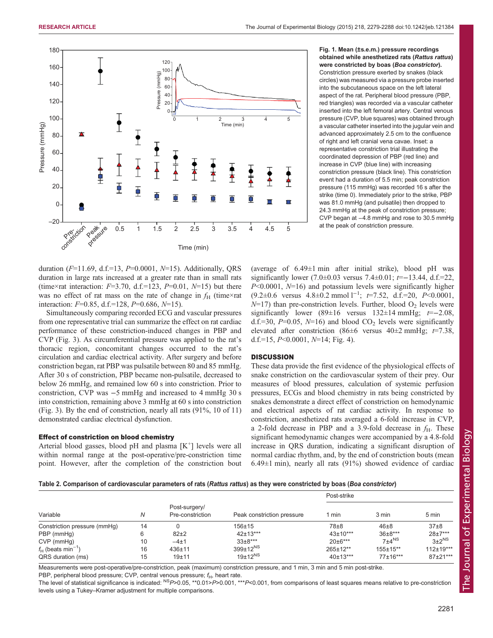<span id="page-2-0"></span>

Fig. 1. Mean (±s.e.m.) pressure recordings obtained while anesthetized rats (Rattus rattus) were constricted by boas (Boa constrictor). Constriction pressure exerted by snakes (black circles) was measured via a pressure probe inserted into the subcutaneous space on the left lateral aspect of the rat. Peripheral blood pressure (PBP, red triangles) was recorded via a vascular catheter inserted into the left femoral artery. Central venous pressure (CVP, blue squares) was obtained through a vascular catheter inserted into the jugular vein and advanced approximately 2.5 cm to the confluence of right and left cranial vena cavae. Inset: a representative constriction trial illustrating the coordinated depression of PBP (red line) and increase in CVP (blue line) with increasing constriction pressure (black line). This constriction event had a duration of 5.5 min; peak constriction pressure (115 mmHg) was recorded 16 s after the strike (time 0). Immediately prior to the strike, PBP was 81.0 mmHg (and pulsatile) then dropped to 24.3 mmHg at the peak of constriction pressure; CVP began at −4.8 mmHg and rose to 30.5 mmHg at the peak of constriction pressure.

duration ( $F=11.69$ , d.f.=13,  $P=0.0001$ ,  $N=15$ ). Additionally, QRS duration in large rats increased at a greater rate than in small rats (time×rat interaction:  $F=3.70$ , d.f.=123,  $P=0.01$ ,  $N=15$ ) but there was no effect of rat mass on the rate of change in  $f_H$  (time×rat interaction:  $F=0.85$ , d.f.=128,  $P=0.686$ ,  $N=15$ ).

Simultaneously comparing recorded ECG and vascular pressures from one representative trial can summarize the effect on rat cardiac performance of these constriction-induced changes in PBP and CVP ([Fig. 3](#page-4-0)). As circumferential pressure was applied to the rat's thoracic region, concomitant changes occurred to the rat's circulation and cardiac electrical activity. After surgery and before constriction began, rat PBP was pulsatile between 80 and 85 mmHg. After 30 s of constriction, PBP became non-pulsatile, decreased to below 26 mmHg, and remained low 60 s into constriction. Prior to constriction, CVP was −5 mmHg and increased to 4 mmHg 30 s into constriction, remaining above 3 mmHg at 60 s into constriction [\(Fig. 3](#page-4-0)). By the end of constriction, nearly all rats (91%, 10 of 11) demonstrated cardiac electrical dysfunction.

## Effect of constriction on blood chemistry

Arterial blood gasses, blood pH and plasma [K+] levels were all within normal range at the post-operative/pre-constriction time point. However, after the completion of the constriction bout (average of  $6.49 \pm 1$  min after initial strike), blood pH was significantly lower (7.0±0.03 versus 7.4±0.01;  $t=-13.44$ , d.f.=22,  $P<0.0001$ ,  $N=16$ ) and potassium levels were significantly higher  $(9.2\pm0.6$  versus  $4.8\pm0.2$  mmol  $1^{-1}$ ;  $t=7.52$ , d.f.=20,  $P<0.0001$ ,  $N=17$ ) than pre-constriction levels. Further, blood  $O<sub>2</sub>$  levels were significantly lower (89±16 versus 132±14 mmHg;  $t=-2.08$ , d.f.=30,  $P=0.05$ ,  $N=16$ ) and blood  $CO<sub>2</sub>$  levels were significantly elevated after constriction (86 $\pm$ 6 versus 40 $\pm$ 2 mmHg;  $t=7.38$ , d.f.=15,  $P \le 0.0001$ ,  $N=14$ ; [Fig. 4\)](#page-5-0).

## **DISCUSSION**

These data provide the first evidence of the physiological effects of snake constriction on the cardiovascular system of their prey. Our measures of blood pressures, calculation of systemic perfusion pressures, ECGs and blood chemistry in rats being constricted by snakes demonstrate a direct effect of constriction on hemodynamic and electrical aspects of rat cardiac activity. In response to constriction, anesthetized rats averaged a 6-fold increase in CVP, a 2-fold decrease in PBP and a 3.9-fold decrease in  $f_H$ . These significant hemodynamic changes were accompanied by a 4.8-fold increase in QRS duration, indicating a significant disruption of normal cardiac rhythm, and, by the end of constriction bouts (mean  $6.49\pm1$  min), nearly all rats (91%) showed evidence of cardiac

#### Table 2. Comparison of cardiovascular parameters of rats (Rattus rattus) as they were constricted by boas (Boa constrictor)

| Variable                         | N  | Post-surgery/<br>Pre-constriction | Peak constriction pressure | Post-strike    |                     |                 |
|----------------------------------|----|-----------------------------------|----------------------------|----------------|---------------------|-----------------|
|                                  |    |                                   |                            | l min          | 3 min               | 5 min           |
| Constriction pressure (mmHg)     | 14 |                                   | $156 + 15$                 | 78±8           | $46 + 8$            | $37\pm8$        |
| PBP (mmHg)                       | 6  | $82+2$                            | 42±13***                   | $43 \pm 10***$ | $36\pm8***$         | $28+7***$       |
| $CVP$ (mmHg)                     | 10 | $-4+1$                            | $33\pm8***$                | $20 \pm 6***$  | $7±4$ <sup>NS</sup> | $3\pm2^{NS}$    |
| $f_H$ (beats min <sup>-1</sup> ) | 16 | $436 + 11$                        | $399 \pm 12^{NS}$          | $265 \pm 12**$ | $155 \pm 15**$      | $112 \pm 19***$ |
| QRS duration (ms)                | 15 | $19 + 11$                         | $19 \pm 12^{NS}$           | $40±13***$     | 77±16***            | $87+21***$      |

Measurements were post-operative/pre-constriction, peak (maximum) constriction pressure, and 1 min, 3 min and 5 min post-strike. PBP, peripheral blood pressure; CVP, central venous pressure;  $f_H$ , heart rate.

The level of statistical significance is indicated:  $^{NS}P>0.05$ , \*\*0.01>P>0.001, \*\*\*P<0.001, from comparisons of least squares means relative to pre-constriction levels using a Tukey–Kramer adjustment for multiple comparisons.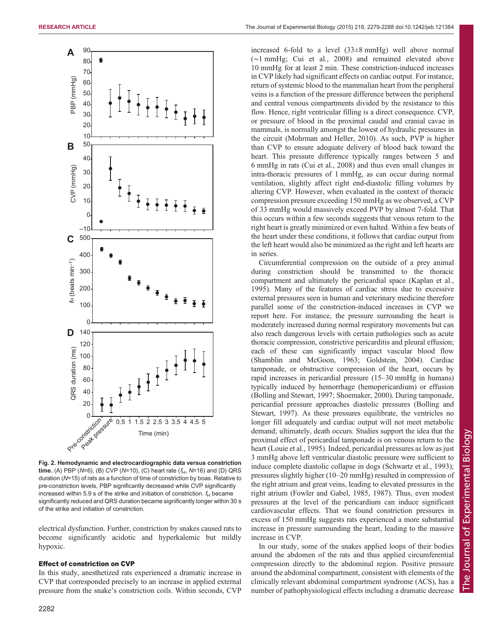<span id="page-3-0"></span>

Fig. 2. Hemodynamic and electrocardiographic data versus constriction time. (A) PBP (N=6), (B) CVP (N=10), (C) heart rate ( $f_H$ , N=16) and (D) QRS duration (N=15) of rats as a function of time of constriction by boas. Relative to pre-constriction levels, PBP significantly decreased while CVP significantly increased within 5.9 s of the strike and initiation of constriction.  $f_H$  became significantly reduced and QRS duration became significantly longer within 30 s of the strike and initiation of constriction.

electrical dysfunction. Further, constriction by snakes caused rats to become significantly acidotic and hyperkalemic but mildly hypoxic.

## Effect of constriction on CVP

In this study, anesthetized rats experienced a dramatic increase in CVP that corresponded precisely to an increase in applied external pressure from the snake's constriction coils. Within seconds, CVP

increased 6-fold to a level (33±8 mmHg) well above normal (∼1 mmHg; [Cui et al., 2008\)](#page-8-0) and remained elevated above 10 mmHg for at least 2 min. These constriction-induced increases in CVP likely had significant effects on cardiac output. For instance, return of systemic blood to the mammalian heart from the peripheral veins is a function of the pressure difference between the peripheral and central venous compartments divided by the resistance to this flow. Hence, right ventricular filling is a direct consequence. CVP, or pressure of blood in the proximal caudal and cranial cavae in mammals, is normally amongst the lowest of hydraulic pressures in the circuit ([Mohrman and Heller, 2010\)](#page-9-0). As such, PVP is higher than CVP to ensure adequate delivery of blood back toward the heart. This pressure difference typically ranges between 5 and 6 mmHg in rats ([Cui et al., 2008\)](#page-8-0) and thus even small changes in intra-thoracic pressures of 1 mmHg, as can occur during normal ventilation, slightly affect right end-diastolic filling volumes by altering CVP. However, when evaluated in the context of thoracic compression pressure exceeding 150 mmHg as we observed, a CVP of 33 mmHg would massively exceed PVP by almost 7-fold. That this occurs within a few seconds suggests that venous return to the right heart is greatly minimized or even halted. Within a few beats of the heart under these conditions, it follows that cardiac output from the left heart would also be minimized as the right and left hearts are in series.

Circumferential compression on the outside of a prey animal during constriction should be transmitted to the thoracic compartment and ultimately the pericardial space ([Kaplan et al.,](#page-8-0) [1995\)](#page-8-0). Many of the features of cardiac stress due to excessive external pressures seen in human and veterinary medicine therefore parallel some of the constriction-induced increases in CVP we report here. For instance, the pressure surrounding the heart is moderately increased during normal respiratory movements but can also reach dangerous levels with certain pathologies such as acute thoracic compression, constrictive pericarditis and pleural effusion; each of these can significantly impact vascular blood flow [\(Shamblin and McGoon, 1963;](#page-9-0) [Goldstein, 2004](#page-8-0)). Cardiac tamponade, or obstructive compression of the heart, occurs by rapid increases in pericardial pressure (15–30 mmHg in humans) typically induced by hemorrhage (hemopericardium) or effusion [\(Bolling and Stewart, 1997](#page-8-0); [Shoemaker, 2000\)](#page-9-0). During tamponade, pericardial pressure approaches diastolic pressures [\(Bolling and](#page-8-0) [Stewart, 1997\)](#page-8-0). As these pressures equilibrate, the ventricles no longer fill adequately and cardiac output will not meet metabolic demand; ultimately, death occurs. Studies support the idea that the proximal effect of pericardial tamponade is on venous return to the heart [\(Louie et al., 1995\)](#page-8-0). Indeed, pericardial pressures as low as just 3 mmHg above left ventricular diastolic pressure were sufficient to induce complete diastolic collapse in dogs [\(Schwartz et al., 1993](#page-9-0)); pressures slightly higher (10–20 mmHg) resulted in compression of the right atrium and great veins, leading to elevated pressures in the right atrium ([Fowler and Gabel, 1985, 1987](#page-8-0)). Thus, even modest pressures at the level of the pericardium can induce significant cardiovascular effects. That we found constriction pressures in excess of 150 mmHg suggests rats experienced a more substantial increase in pressure surrounding the heart, leading to the massive increase in CVP.

In our study, some of the snakes applied loops of their bodies around the abdomen of the rats and thus applied circumferential compression directly to the abdominal region. Positive pressure around the abdominal compartment, consistent with elements of the clinically relevant abdominal compartment syndrome (ACS), has a number of pathophysiological effects including a dramatic decrease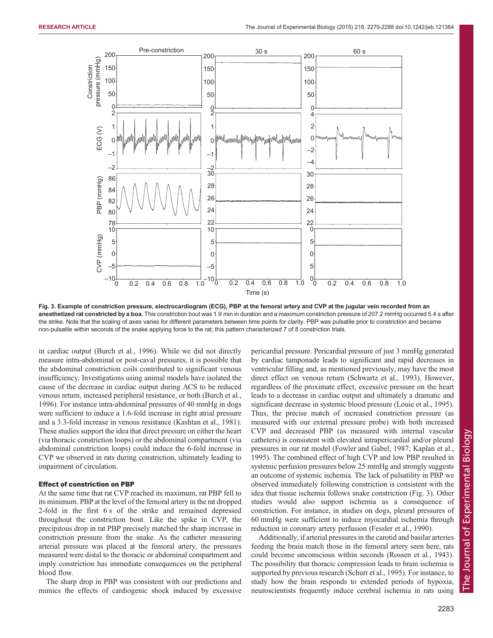<span id="page-4-0"></span>

Fig. 3. Example of constriction pressure, electrocardiogram (ECG), PBP at the femoral artery and CVP at the jugular vein recorded from an anesthetized rat constricted by a boa. This constriction bout was 1.9 min in duration and a maximum constriction pressure of 207.2 mmHg occurred 5.4 s after the strike. Note that the scaling of axes varies for different parameters between time points for clarity. PBP was pulsatile prior to constriction and became non-pulsatile within seconds of the snake applying force to the rat; this pattern characterized 7 of 8 constriction trials.

in cardiac output [\(Burch et al., 1996\)](#page-8-0). While we did not directly measure intra-abdominal or post-caval pressures, it is possible that the abdominal constriction coils contributed to significant venous insufficiency. Investigations using animal models have isolated the cause of the decrease in cardiac output during ACS to be reduced venous return, increased peripheral resistance, or both [\(Burch et al.,](#page-8-0) [1996](#page-8-0)). For instance intra-abdominal pressures of 40 mmHg in dogs were sufficient to induce a 1.6-fold increase in right atrial pressure and a 3.3-fold increase in venous resistance [\(Kashtan et al., 1981\)](#page-8-0). These studies support the idea that direct pressure on either the heart (via thoracic constriction loops) or the abdominal compartment (via abdominal constriction loops) could induce the 6-fold increase in CVP we observed in rats during constriction, ultimately leading to impairment of circulation.

## Effect of constriction on PBP

At the same time that rat CVP reached its maximum, rat PBP fell to its minimum. PBP at the level of the femoral artery in the rat dropped 2-fold in the first 6 s of the strike and remained depressed throughout the constriction bout. Like the spike in CVP, the precipitous drop in rat PBP precisely matched the sharp increase in constriction pressure from the snake. As the catheter measuring arterial pressure was placed at the femoral artery, the pressures measured were distal to the thoracic or abdominal compartment and imply constriction has immediate consequences on the peripheral blood flow.

The sharp drop in PBP was consistent with our predictions and mimics the effects of cardiogenic shock induced by excessive pericardial pressure. Pericardial pressure of just 3 mmHg generated by cardiac tamponade leads to significant and rapid decreases in ventricular filling and, as mentioned previously, may have the most direct effect on venous return ([Schwartz et al., 1993](#page-9-0)). However, regardless of the proximate effect, excessive pressure on the heart leads to a decrease in cardiac output and ultimately a dramatic and significant decrease in systemic blood pressure ([Louie et al., 1995\)](#page-8-0). Thus, the precise match of increased constriction pressure (as measured with our external pressure probe) with both increased CVP and decreased PBP (as measured with internal vascular catheters) is consistent with elevated intrapericardial and/or pleural pressures in our rat model [\(Fowler and Gabel, 1987; Kaplan et al.,](#page-8-0) [1995\)](#page-8-0). The combined effect of high CVP and low PBP resulted in systemic perfusion pressures below 25 mmHg and strongly suggests an outcome of systemic ischemia. The lack of pulsatility in PBP we observed immediately following constriction is consistent with the idea that tissue ischemia follows snake constriction (Fig. 3). Other studies would also support ischemia as a consequence of constriction. For instance, in studies on dogs, pleural pressures of 60 mmHg were sufficient to induce myocardial ischemia through reduction in coronary artery perfusion ([Fessler et al., 1990\)](#page-8-0).

Additionally, if arterial pressures in the carotid and basilar arteries feeding the brain match those in the femoral artery seen here, rats could become unconscious within seconds ([Rossen et al., 1943\)](#page-9-0). The possibility that thoracic compression leads to brain ischemia is supported by previous research [\(Schurr et al., 1995\)](#page-9-0). For instance, to study how the brain responds to extended periods of hypoxia, neuroscientists frequently induce cerebral ischemia in rats using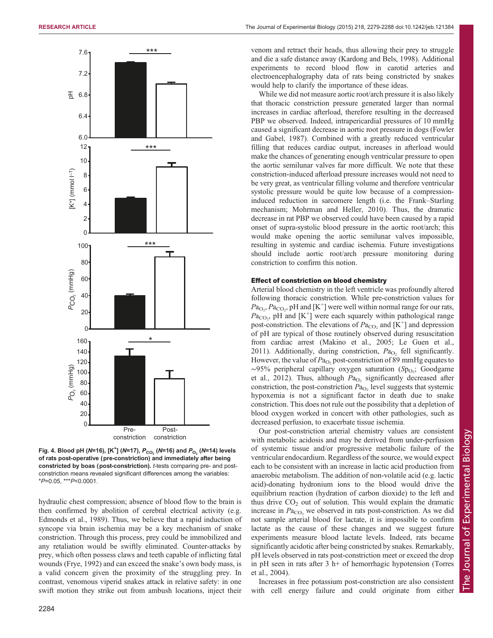<span id="page-5-0"></span>

Fig. 4. Blood pH (N=16), [K<sup>+</sup>] (N=17),  $P_{\rm{CO}_2}$  (N=16) and  $P_{\rm{O}_2}$  (N=14) levels of rats post-operative (pre-constriction) and immediately after being constricted by boas (post-constriction). t-tests comparing pre- and postconstriction means revealed significant differences among the variables:  $*P=0.05$ ,  $**P<0.0001$ .

hydraulic chest compression; absence of blood flow to the brain is then confirmed by abolition of cerebral electrical activity (e.g. [Edmonds et al., 1989](#page-8-0)). Thus, we believe that a rapid induction of syncope via brain ischemia may be a key mechanism of snake constriction. Through this process, prey could be immobilized and any retaliation would be swiftly eliminated. Counter-attacks by prey, which often possess claws and teeth capable of inflicting fatal wounds ([Frye, 1992](#page-8-0)) and can exceed the snake's own body mass, is a valid concern given the proximity of the struggling prey. In contrast, venomous viperid snakes attack in relative safety: in one swift motion they strike out from ambush locations, inject their

venom and retract their heads, thus allowing their prey to struggle and die a safe distance away ([Kardong and Bels, 1998\)](#page-8-0). Additional experiments to record blood flow in carotid arteries and electroencephalography data of rats being constricted by snakes would help to clarify the importance of these ideas.

While we did not measure aortic root/arch pressure it is also likely that thoracic constriction pressure generated larger than normal increases in cardiac afterload, therefore resulting in the decreased PBP we observed. Indeed, intrapericardial pressures of 10 mmHg caused a significant decrease in aortic root pressure in dogs ([Fowler](#page-8-0) [and Gabel, 1987\)](#page-8-0). Combined with a greatly reduced ventricular filling that reduces cardiac output, increases in afterload would make the chances of generating enough ventricular pressure to open the aortic semilunar valves far more difficult. We note that these constriction-induced afterload pressure increases would not need to be very great, as ventricular filling volume and therefore ventricular systolic pressure would be quite low because of a compressioninduced reduction in sarcomere length (i.e. the Frank–Starling mechanism; [Mohrman and Heller, 2010](#page-9-0)). Thus, the dramatic decrease in rat PBP we observed could have been caused by a rapid onset of supra-systolic blood pressure in the aortic root/arch; this would make opening the aortic semilunar valves impossible, resulting in systemic and cardiac ischemia. Future investigations should include aortic root/arch pressure monitoring during constriction to confirm this notion.

## Effect of constriction on blood chemistry

Arterial blood chemistry in the left ventricle was profoundly altered following thoracic constriction. While pre-constriction values for  $Pa<sub>O</sub>$ ,  $Pa<sub>CO</sub>$ , pH and [K<sup>+</sup>] were well within normal range for our rats,  $Pa_{CO_2}$ , pH and  $[K^+]$  were each squarely within pathological range post-constriction. The elevations of  $Pa_{CO_2}$  and  $[\hat{K}^+]$  and depression of pH are typical of those routinely observed during resuscitation from cardiac arrest [\(Makino et al., 2005; Le Guen et al.,](#page-8-0) [2011\)](#page-8-0). Additionally, during constriction,  $Pa<sub>O2</sub>$  fell significantly. However, the value of  $Pa<sub>O2</sub>$  post-constriction of 89 mmHg equates to ~95% peripheral capillary oxygen saturation (Sp<sub>O2</sub>; [Goodgame](#page-8-0) [et al., 2012\)](#page-8-0). Thus, although  $Pa<sub>O</sub>$ , significantly decreased after constriction, the post-constriction  $Pa<sub>O<sub>2</sub></sub>$  level suggests that systemic hypoxemia is not a significant factor in death due to snake constriction. This does not rule out the possibility that a depletion of blood oxygen worked in concert with other pathologies, such as decreased perfusion, to exacerbate tissue ischemia.

Our post-constriction arterial chemistry values are consistent with metabolic acidosis and may be derived from under-perfusion of systemic tissue and/or progressive metabolic failure of the ventricular endocardium. Regardless of the source, we would expect each to be consistent with an increase in lactic acid production from anaerobic metabolism. The addition of non-volatile acid (e.g. lactic acid)-donating hydronium ions to the blood would drive the equilibrium reaction (hydration of carbon dioxide) to the left and thus drive  $CO<sub>2</sub>$  out of solution. This would explain the dramatic increase in  $Pa<sub>CO</sub>$ , we observed in rats post-constriction. As we did not sample arterial blood for lactate, it is impossible to confirm lactate as the cause of these changes and we suggest future experiments measure blood lactate levels. Indeed, rats became significantly acidotic after being constricted by snakes. Remarkably, pH levels observed in rats post-constriction meet or exceed the drop in pH seen in rats after 3 h+ of hemorrhagic hypotension ([Torres](#page-9-0) [et al., 2004\)](#page-9-0).

Increases in free potassium post-constriction are also consistent with cell energy failure and could originate from either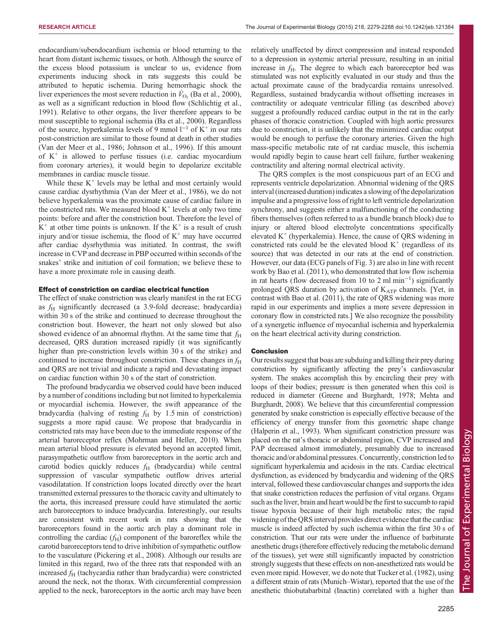endocardium/subendocardium ischemia or blood returning to the heart from distant ischemic tissues, or both. Although the source of the excess blood potassium is unclear to us, evidence from experiments inducing shock in rats suggests this could be attributed to hepatic ischemia. During hemorrhagic shock the liver experiences the most severe reduction in  $V_{\text{O}_2}$  ([Ba et al., 2000\)](#page-8-0), as well as a significant reduction in blood flow [\(Schlichtig et al.,](#page-9-0) [1991](#page-9-0)). Relative to other organs, the liver therefore appears to be most susceptible to regional ischemia [\(Ba et al., 2000\)](#page-8-0). Regardless of the source, hyperkalemia levels of 9 mmol  $l^{-1}$  of K<sup>+</sup> in our rats post-constriction are similar to those found at death in other studies [\(Van der Meer et al., 1986](#page-9-0); [Johnson et al., 1996](#page-8-0)). If this amount of  $K^+$  is allowed to perfuse tissues (i.e. cardiac myocardium from coronary arteries), it would begin to depolarize excitable membranes in cardiac muscle tissue.

While these  $K^+$  levels may be lethal and most certainly would cause cardiac dysrhythmia [\(Van der Meer et al., 1986](#page-9-0)), we do not believe hyperkalemia was the proximate cause of cardiac failure in the constricted rats. We measured blood  $K^+$  levels at only two time points: before and after the constriction bout. Therefore the level of  $K^+$  at other time points is unknown. If the  $K^+$  is a result of crush injury and/or tissue ischemia, the flood of  $K^+$  may have occurred after cardiac dysrhythmia was initiated. In contrast, the swift increase in CVP and decrease in PBP occurred within seconds of the snakes' strike and initiation of coil formation; we believe these to have a more proximate role in causing death.

## Effect of constriction on cardiac electrical function

The effect of snake constriction was clearly manifest in the rat ECG as  $f<sub>H</sub>$  significantly decreased (a 3.9-fold decrease; bradycardia) within 30 s of the strike and continued to decrease throughout the constriction bout. However, the heart not only slowed but also showed evidence of an abnormal rhythm. At the same time that  $f_H$ decreased, QRS duration increased rapidly (it was significantly higher than pre-constriction levels within 30 s of the strike) and continued to increase throughout constriction. These changes in  $f<sub>H</sub>$ and QRS are not trivial and indicate a rapid and devastating impact on cardiac function within 30 s of the start of constriction.

The profound bradycardia we observed could have been induced by a number of conditions including but not limited to hyperkalemia or myocardial ischemia. However, the swift appearance of the bradycardia (halving of resting  $f_H$  by 1.5 min of constriction) suggests a more rapid cause. We propose that bradycardia in constricted rats may have been due to the immediate response of the arterial baroreceptor reflex ([Mohrman and Heller, 2010\)](#page-9-0). When mean arterial blood pressure is elevated beyond an accepted limit, parasympathetic outflow from baroreceptors in the aortic arch and carotid bodies quickly reduces  $f<sub>H</sub>$  (bradycardia) while central suppression of vascular sympathetic outflow drives arterial vasodilatation. If constriction loops located directly over the heart transmitted external pressures to the thoracic cavity and ultimately to the aorta, this increased pressure could have stimulated the aortic arch baroreceptors to induce bradycardia. Interestingly, our results are consistent with recent work in rats showing that the baroreceptors found in the aortic arch play a dominant role in controlling the cardiac  $(f_H)$  component of the baroreflex while the carotid baroreceptors tend to drive inhibition of sympathetic outflow to the vasculature ([Pickering et al., 2008\)](#page-9-0). Although our results are limited in this regard, two of the three rats that responded with an increased  $f_H$  (tachycardia rather than bradycardia) were constricted around the neck, not the thorax. With circumferential compression applied to the neck, baroreceptors in the aortic arch may have been relatively unaffected by direct compression and instead responded to a depression in systemic arterial pressure, resulting in an initial increase in  $f_H$ . The degree to which each baroreceptor bed was stimulated was not explicitly evaluated in our study and thus the actual proximate cause of the bradycardia remains unresolved. Regardless, sustained bradycardia without offsetting increases in contractility or adequate ventricular filling (as described above) suggest a profoundly reduced cardiac output in the rat in the early phases of thoracic constriction. Coupled with high aortic pressures due to constriction, it is unlikely that the minimized cardiac output would be enough to perfuse the coronary arteries. Given the high mass-specific metabolic rate of rat cardiac muscle, this ischemia would rapidly begin to cause heart cell failure, further weakening contractility and altering normal electrical activity.

The QRS complex is the most conspicuous part of an ECG and represents ventricle depolarization. Abnormal widening of the QRS interval (increased duration) indicates a slowing of the depolarization impulse and a progressive loss of right to left ventricle depolarization synchrony, and suggests either a malfunctioning of the conducting fibers themselves (often referred to as a bundle branch block) due to injury or altered blood electrolyte concentrations specifically elevated  $K^+$  (hyperkalemia). Hence, the cause of QRS widening in constricted rats could be the elevated blood  $K^+$  (regardless of its source) that was detected in our rats at the end of constriction. However, our data (ECG panels of [Fig. 3\)](#page-4-0) are also in line with recent work by [Bao et al. \(2011\)](#page-8-0), who demonstrated that low flow ischemia in rat hearts (flow decreased from 10 to 2 ml min−<sup>1</sup> ) significantly prolonged QRS duration by activation of  $K_{ATP}$  channels. [Yet, in contrast with [Bao et al. \(2011\),](#page-8-0) the rate of QRS widening was more rapid in our experiments and implies a more severe depression in coronary flow in constricted rats.] We also recognize the possibility of a synergetic influence of myocardial ischemia and hyperkalemia on the heart electrical activity during constriction.

### Conclusion

Our results suggest that boas are subduing and killing their prey during constriction by significantly affecting the prey's cardiovascular system. The snakes accomplish this by encircling their prey with loops of their bodies; pressure is then generated when this coil is reduced in diameter [\(Greene and Burghardt, 1978; Mehta and](#page-8-0) [Burghardt, 2008](#page-8-0)). We believe that this circumferential compression generated by snake constriction is especially effective because of the efficiency of energy transfer from this geometric shape change [\(Halperin et al., 1993\)](#page-8-0). When significant constriction pressure was placed on the rat's thoracic or abdominal region, CVP increased and PAP decreased almost immediately, presumably due to increased thoracic and/or abdominal pressures. Concurrently, constriction led to significant hyperkalemia and acidosis in the rats. Cardiac electrical dysfunction, as evidenced by bradycardia and widening of the QRS interval, followed these cardiovascular changes and supports the idea that snake constriction reduces the perfusion of vital organs. Organs such asthe liver, brain and heart would be the first to succumb to rapid tissue hypoxia because of their high metabolic rates; the rapid widening of the QRS interval provides direct evidence that the cardiac muscle is indeed affected by such ischemia within the first 30 s of constriction. That our rats were under the influence of barbiturate anesthetic drugs (therefore effectively reducing the metabolic demand of the tissues), yet were still significantly impacted by constriction strongly suggests that these effects on non-anesthetized rats would be even more rapid. However, we do note that [Tucker et al. \(1982\),](#page-9-0) using a different strain of rats (Munich–Wistar), reported that the use of the anesthetic thiobutabarbital (Inactin) correlated with a higher than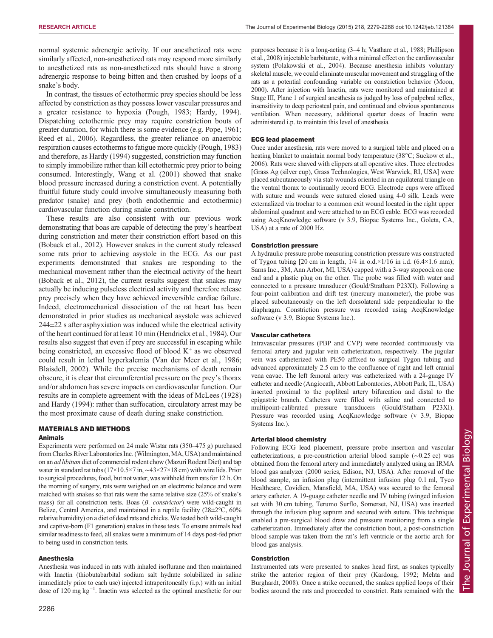normal systemic adrenergic activity. If our anesthetized rats were similarly affected, non-anesthetized rats may respond more similarly to anesthetized rats as non-anesthetized rats should have a strong adrenergic response to being bitten and then crushed by loops of a snake's body.

In contrast, the tissues of ectothermic prey species should be less affected by constriction as they possess lower vascular pressures and a greater resistance to hypoxia [\(Pough, 1983;](#page-9-0) [Hardy, 1994\)](#page-8-0). Dispatching ectothermic prey may require constriction bouts of greater duration, for which there is some evidence (e.g. [Pope, 1961](#page-9-0); [Reed et al., 2006\)](#page-9-0). Regardless, the greater reliance on anaerobic respiration causes ectotherms to fatigue more quickly ([Pough, 1983\)](#page-9-0) and therefore, as [Hardy \(1994\)](#page-8-0) suggested, constriction may function to simply immobilize rather than kill ectothermic prey prior to being consumed. Interestingly, [Wang et al. \(2001\)](#page-9-0) showed that snake blood pressure increased during a constriction event. A potentially fruitful future study could involve simultaneously measuring both predator (snake) and prey (both endothermic and ectothermic) cardiovascular function during snake constriction.

These results are also consistent with our previous work demonstrating that boas are capable of detecting the prey's heartbeat during constriction and meter their constriction effort based on this [\(Boback et al., 2012\)](#page-8-0). However snakes in the current study released some rats prior to achieving asystole in the ECG. As our past experiments demonstrated that snakes are responding to the mechanical movement rather than the electrical activity of the heart [\(Boback et al., 2012\)](#page-8-0), the current results suggest that snakes may actually be inducing pulseless electrical activity and therefore release prey precisely when they have achieved irreversible cardiac failure. Indeed, electromechanical dissociation of the rat heart has been demonstrated in prior studies as mechanical asystole was achieved  $244\pm22$  s after asphyxiation was induced while the electrical activity of the heart continued for at least 10 min ([Hendrickx et al., 1984\)](#page-8-0). Our results also suggest that even if prey are successful in escaping while being constricted, an excessive flood of blood  $K^+$  as we observed could result in lethal hyperkalemia ([Van der Meer et al., 1986](#page-9-0); [Blaisdell, 2002\)](#page-8-0). While the precise mechanisms of death remain obscure, it is clear that circumferential pressure on the prey's thorax and/or abdomen has severe impacts on cardiovascular function. Our results are in complete agreement with the ideas of McLees (1928) and [Hardy \(1994\):](#page-8-0) rather than suffocation, circulatory arrest may be the most proximate cause of death during snake constriction.

# MATERIALS AND METHODS

## Animals

Experiments were performed on 24 male Wistar rats (350–475 g) purchased from Charles River Laboratories Inc. (Wilmington,MA, USA) and maintained on an ad libitum diet of commercial rodent chow (Mazuri Rodent Diet) and tap water in standard rat tubs (17×10.5×7 in, ∼43×27×18 cm) with wire lids. Prior to surgical procedures, food, but not water, was withheld from rats for 12 h. On the morning of surgery, rats were weighed on an electronic balance and were matched with snakes so that rats were the same relative size (25% of snake's mass) for all constriction tests. Boas (B. constrictor) were wild-caught in Belize, Central America, and maintained in a reptile facility (28±2°C, 60% relative humidity) on a diet of dead rats and chicks. We tested both wild-caught and captive-born (F1 generation) snakes in these tests. To ensure animals had similar readiness to feed, all snakes were a minimum of 14 days post-fed prior to being used in constriction tests.

#### Anesthesia

Anesthesia was induced in rats with inhaled isoflurane and then maintained with Inactin (thiobutabarbital sodium salt hydrate solubilized in saline immediately prior to each use) injected intraperitoneally (i.p.) with an initial dose of 120 mg kg−<sup>1</sup> . Inactin was selected as the optimal anesthetic for our

purposes because it is a long-acting (3–4 h; [Vasthare et al., 1988](#page-9-0); [Phillipson](#page-9-0) [et al., 2008\)](#page-9-0) injectable barbiturate, with a minimal effect on the cardiovascular system [\(Polakowski et al., 2004\)](#page-9-0). Because anesthesia inhibits voluntary skeletal muscle, we could eliminate muscular movement and struggling of the rats as a potential confounding variable on constriction behavior [\(Moon,](#page-9-0) [2000\)](#page-9-0). After injection with Inactin, rats were monitored and maintained at Stage III, Plane 1 of surgical anesthesia as judged by loss of palpebral reflex, insensitivity to deep periosteal pain, and continued and obvious spontaneous ventilation. When necessary, additional quarter doses of Inactin were administered i.p. to maintain this level of anesthesia.

#### ECG lead placement

Once under anesthesia, rats were moved to a surgical table and placed on a heating blanket to maintain normal body temperature (38°C; [Suckow et al.,](#page-9-0) [2006\)](#page-9-0). Rats were shaved with clippers at all operative sites. Three electrodes [Grass Ag (silver cup), Grass Technologies, West Warwick, RI, USA] were placed subcutaneously via stab wounds oriented in an equilateral triangle on the ventral thorax to continually record ECG. Electrode cups were affixed with suture and wounds were sutured closed using 4-0 silk. Leads were externalized via trochar to a common exit wound located in the right upper abdominal quadrant and were attached to an ECG cable. ECG was recorded using AcqKnowledge software (v 3.9, Biopac Systems Inc., Goleta, CA, USA) at a rate of 2000 Hz.

### Constriction pressure

A hydraulic pressure probe measuring constriction pressure was constructed of Tygon tubing [20 cm in length,  $1/4$  in o.d. $\times 1/16$  in i.d. (6.4 $\times 1.6$  mm); Sarns Inc., 3M, Ann Arbor, MI, USA) capped with a 3-way stopcock on one end and a plastic plug on the other. The probe was filled with water and connected to a pressure transducer (Gould/Stratham P23XI). Following a four-point calibration and drift test (mercury manometer), the probe was placed subcutaneously on the left dorsolateral side perpendicular to the diaphragm. Constriction pressure was recorded using AcqKnowledge software (v 3.9, Biopac Systems Inc.).

## Vascular catheters

Intravascular pressures (PBP and CVP) were recorded continuously via femoral artery and jugular vein catheterization, respectively. The jugular vein was catheterized with PE50 affixed to surgical Tygon tubing and advanced approximately 2.5 cm to the confluence of right and left cranial vena cavae. The left femoral artery was catheterized with a 24-guage IV catheter and needle (Angiocath, Abbott Laboratories, Abbott Park, IL, USA) inserted proximal to the popliteal artery bifurcation and distal to the epigastric branch. Catheters were filled with saline and connected to multipoint-calibrated pressure transducers (Gould/Statham P23Xl). Pressure was recorded using AcqKnowledge software (v 3.9, Biopac Systems Inc.).

#### Arterial blood chemistry

Following ECG lead placement, pressure probe insertion and vascular catheterizations, a pre-constriction arterial blood sample (∼0.25 cc) was obtained from the femoral artery and immediately analyzed using an IRMA blood gas analyzer (2000 series, Edison, NJ, USA). After removal of the blood sample, an infusion plug (intermittent infusion plug 0.1 ml, Tyco Healthcare, Covidien, Mansfield, MA, USA) was secured to the femoral artery catheter. A 19-guage catheter needle and IV tubing (winged infusion set with 30 cm tubing, Terumo Surflo, Somerset, NJ, USA) was inserted through the infusion plug septum and secured with suture. This technique enabled a pre-surgical blood draw and pressure monitoring from a single catheterization. Immediately after the constriction bout, a post-constriction blood sample was taken from the rat's left ventricle or the aortic arch for blood gas analysis.

## Constriction

Instrumented rats were presented to snakes head first, as snakes typically strike the anterior region of their prey ([Kardong, 1992; Mehta and](#page-8-0) [Burghardt, 2008\)](#page-8-0). Once a strike occurred, the snakes applied loops of their bodies around the rats and proceeded to constrict. Rats remained with the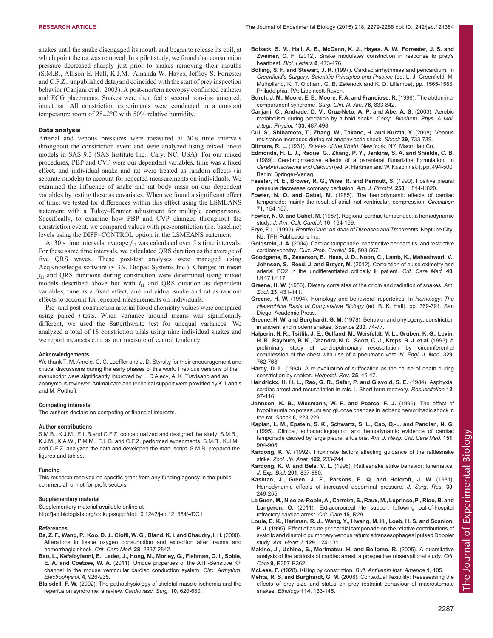<span id="page-8-0"></span>snakes until the snake disengaged its mouth and began to release its coil, at which point the rat was removed. In a pilot study, we found that constriction pressure decreased sharply just prior to snakes removing their mouths (S.M.B., Allison E. Hall, K.J.M., Amanda W. Hayes, Jeffrey S. Forrester and C.F.Z., unpublished data) and coincided with the start of prey inspection behavior (Canjani et al., 2003). A post-mortem necropsy confirmed catheter and ECG placements. Snakes were then fed a second non-instrumented, intact rat. All constriction experiments were conducted in a constant temperature room of 28±2°C with 50% relative humidity.

## Data analysis

Arterial and venous pressures were measured at 30 s time intervals throughout the constriction event and were analyzed using mixed linear models in SAS 9.3 (SAS Institute Inc., Cary, NC, USA). For our mixed procedures, PBP and CVP were our dependent variables, time was a fixed effect, and individual snake and rat were treated as random effects (in separate models) to account for repeated measurements on individuals. We examined the influence of snake and rat body mass on our dependent variables by testing these as covariates. When we found a significant effect of time, we tested for differences within this effect using the LSMEANS statement with a Tukey–Kramer adjustment for multiple comparisons. Specifically, to examine how PBP and CVP changed throughout the constriction event, we compared values with pre-constriction (i.e. baseline) levels using the DIFF=CONTROL option in the LSMEANS statement.

At 30 s time intervals, average  $f_H$  was calculated over 5 s time intervals. For these same time intervals, we calculated QRS duration as the average of five QRS waves. These post-test analyses were managed using AcqKnowledge software (v 3.9, Biopac Systems Inc.). Changes in mean  $f<sub>H</sub>$  and QRS durations during constriction were determined using mixed models described above but with  $f_H$  and QRS duration as dependent variables, time as a fixed effect, and individual snake and rat as random effects to account for repeated measurements on individuals.

Pre- and post-constriction arterial blood chemistry values were compared using paired *t*-tests. When variance around means was significantly different, we used the Satterthwaite test for unequal variances. We analyzed a total of 18 constriction trials using nine individual snakes and we report means±s.e.m. as our measure of central tendency.

#### Acknowledgements

We thank T. M. Arnold, C. C. Loeffler and J. D. Styrsky for their encouragement and critical discussions during the early phases of this work. Previous versions of the manuscript were significantly improved by L. D'Alecy, A. K. Travisano and an anonymous reviewer. Animal care and technical support were provided by K. Landis and M. Potthoff.

#### Competing interests

The authors declare no competing or financial interests.

#### Author contributions

S.M.B., K.J.M., E.L.B.and C.F.Z. conceptualized and designed the study. S.M.B., K.J.M., K.A.W., P.M.M., E.L.B. and C.F.Z. performed experiments. S.M.B., K.J.M. and C.F.Z. analyzed the data and developed the manuscript. S.M.B. prepared the figures and tables.

#### Funding

This research received no specific grant from any funding agency in the public, commercial, or not-for-profit sectors.

## Supplementary material

Supplementary material available online at <http://jeb.biologists.org/lookup/suppl/doi:10.1242/jeb.121384/-/DC1>

#### References

- [Ba, Z. F., Wang, P., Koo, D. J., Cioffi, W. G., Bland, K. I. and Chaudry, I. H.](http://dx.doi.org/10.1097/00003246-200008000-00026) (2000). [Alterations in tissue oxygen consumption and extraction after trauma and](http://dx.doi.org/10.1097/00003246-200008000-00026) [hemorrhagic shock.](http://dx.doi.org/10.1097/00003246-200008000-00026) Crit. Care Med. 28, 2837-2842.
- [Bao, L., Kefaloyianni, E., Lader, J., Hong, M., Morley, G., Fishman, G. I., Sobie,](http://dx.doi.org/10.1161/CIRCEP.111.964643) E. A. and Coetzee, W. A. [\(2011\). Unique properties of the ATP-Sensitive K+](http://dx.doi.org/10.1161/CIRCEP.111.964643) [channel in the mouse ventricular cardiac conduction system.](http://dx.doi.org/10.1161/CIRCEP.111.964643) Circ. Arrhythm. [Electrophysiol.](http://dx.doi.org/10.1161/CIRCEP.111.964643) 4, 926-935.
- Blaisdell, F. W. [\(2002\). The pathophysiology of skeletal muscle ischemia and the](http://dx.doi.org/10.1016/S0967-2109(02)00070-4) [reperfusion syndrome: a review.](http://dx.doi.org/10.1016/S0967-2109(02)00070-4) Cardiovasc. Surg. 10, 620-630.
- [Boback, S. M., Hall, A. E., McCann, K. J., Hayes, A. W., Forrester, J. S. and](http://dx.doi.org/10.1098/rsbl.2011.1105) Zwemer, C. F. [\(2012\). Snake modulates constriction in response to prey](http://dx.doi.org/10.1098/rsbl.2011.1105)'s heartbeat. [Biol. Letters](http://dx.doi.org/10.1098/rsbl.2011.1105) 8, 473-476.
- Bolling, S. F. and Stewart, J. R. (1997). Cardiac arrhythmias and pericardium. In Greenfield's Surgery: Scientific Principles and Practice (ed. L. J. Greenfield, M. Mulholland, K. T. Oldham, G. B. Zelenock and K. D. Lillemoe), pp. 1565-1583. Philadelphia, PA: Lippincott-Raven.
- [Burch, J. M., Moore, E. E., Moore, F. A. and Franciose, R.](http://dx.doi.org/10.1016/S0039-6109(05)70483-7) (1996). The abdominal [compartment syndrome.](http://dx.doi.org/10.1016/S0039-6109(05)70483-7) Surg. Clin. N. Am. 76, 833-842.
- [Canjani, C., Andrade, D. V., Cruz-Neto, A. P. and Abe, A. S.](http://dx.doi.org/10.1016/S1095-6433(02)00150-2) (2003). Aerobic [metabolism during predation by a boid snake.](http://dx.doi.org/10.1016/S1095-6433(02)00150-2) Comp. Biochem. Phys. A Mol. [Integr. Physiol.](http://dx.doi.org/10.1016/S1095-6433(02)00150-2) 133, 487-498.
- Cui, S., Shibamoto, T., Zhang, W., Takano, H. and Kurata, Y. (2008). Venous resistance increases during rat anaphylactic shock. Shock 29, 733-739.
- Ditmars, R. L. (1931). Snakes of the World. New York, NY: Macmillan Co.
- Edmonds, H. L. J., Raque, G., Zhang, P. Y., Jenkins, S. A. and Shields, C. B. (1989). Cerebroprotective effects of a parenteral flunarizine formulation. In Cerebral Ischemia and Calcium (ed. A. Hartman and W. Kuschinski), pp. 494-500. Berlin: Springer-Verlag.
- Fessler, H. E., Brower, R. G., Wise, R. and Permutt, S. (1990). Positive pleural pressure decreases coronary perfusion. Am. J. Physiol. 258, H814-H820.
- Fowler, N. O. and Gabel, M. [\(1985\). The hemodynamic effects of cardiac](http://dx.doi.org/10.1161/01.CIR.71.1.154) [tamponade: mainly the result of atrial, not ventricular, compression.](http://dx.doi.org/10.1161/01.CIR.71.1.154) Circulation 71[, 154-157.](http://dx.doi.org/10.1161/01.CIR.71.1.154)
- Fowler, N. O. and Gabel, M. [\(1987\). Regional cardiac tamponade: a hemodynamic](http://dx.doi.org/10.1016/S0735-1097(87)80175-4) study. [J. Am. Coll. Cardiol.](http://dx.doi.org/10.1016/S0735-1097(87)80175-4) 10, 164-169.
- Frye, F. L. (1992). Reptile Care: An Atlas of Diseases and Treatments. Neptune City, NJ: TFH Publications Inc.
- Goldstein, J. A. [\(2004\). Cardiac tamponade, constrictive pericarditis, and restrictive](http://dx.doi.org/10.1016/j.cpcardiol.2004.03.002) cardiomyopathy. [Curr. Prob. Cardiol.](http://dx.doi.org/10.1016/j.cpcardiol.2004.03.002) 29, 503-567.
- Goodgame, B., Zeserson, E., Hess, J. D., Noon, C., Lamb, K., Maheshwari, V., Johnson, S., Reed, J. and Breyer, M. (2012). Correlation of pulse oximetry and arterial PO2 in the undifferentiated critically ill patient. Crit. Care Med. 40, U117-U117
- Greene, H. W. [\(1983\). Dietary correlates of the origin and radiation of snakes.](http://dx.doi.org/10.1093/icb/23.2.431) Am. Zool. 23[, 431-441.](http://dx.doi.org/10.1093/icb/23.2.431)
- Greene, H. W. (1994). Homology and behavioral repertoires. In Homology: The Hierarchical Basis of Comparative Biology (ed. B. K. Hall), pp. 369-391. San Diego: Academic Press.
- Greene, H. W. and Burghardt, G. M. [\(1978\). Behavior and phylogeny: constriction](http://dx.doi.org/10.1126/science.635575) [in ancient and modern snakes.](http://dx.doi.org/10.1126/science.635575) Science 200, 74-77.
- [Halperin, H. R., Tsitlik, J. E., Gelfand, M., Weisfeldt, M. L., Gruben, K. G., Levin,](http://dx.doi.org/10.1056/NEJM199309093291104) [H. R., Rayburn, B. K., Chandra, N. C., Scott, C. J., Kreps, B. J. et al.](http://dx.doi.org/10.1056/NEJM199309093291104) (1993). A [preliminary study of cardiopulmonary resuscitation by circumferential](http://dx.doi.org/10.1056/NEJM199309093291104) [compression of the chest with use of a pneumatic vest.](http://dx.doi.org/10.1056/NEJM199309093291104) N. Engl. J. Med. 329, [762-768.](http://dx.doi.org/10.1056/NEJM199309093291104)
- Hardy, D. L. (1994). A re-evaluation of suffocation as the cause of death during constriction by snakes. Herpetol. Rev. 25, 45-47.
- [Hendrickx, H. H. L., Rao, G. R., Safar, P. and Gisvold, S. E.](http://dx.doi.org/10.1016/0300-9572(84)90062-5) (1984). Asphyxia, [cardiac arrest and resuscitation in rats. I. Short term recovery.](http://dx.doi.org/10.1016/0300-9572(84)90062-5) Resuscitation 12, [97-116.](http://dx.doi.org/10.1016/0300-9572(84)90062-5)
- [Johnson, K. B., Wiesmann, W. P. and Pearce, F. J.](http://dx.doi.org/10.1097/00024382-199609010-00012) (1996). The effect of [hypothermia on potassium and glucose changes in isobaric hemorrhagic shock in](http://dx.doi.org/10.1097/00024382-199609010-00012) the rat. Shock 6[, 223-229.](http://dx.doi.org/10.1097/00024382-199609010-00012)
- [Kaplan, L. M., Epstein, S. K., Schwartz, S. L., Cao, Q.-L. and Pandian, N. G.](http://dx.doi.org/10.1164/ajrccm/151.3_Pt_1.904) [\(1995\). Clinical, echocardiographic, and hemodynamic evidence of cardiac](http://dx.doi.org/10.1164/ajrccm/151.3_Pt_1.904) [tamponade caused by large pleural effusions.](http://dx.doi.org/10.1164/ajrccm/151.3_Pt_1.904) Am. J. Resp. Crit. Care Med. 151, [904-908.](http://dx.doi.org/10.1164/ajrccm/151.3_Pt_1.904)
- Kardong, K. V. (1992). Proximate factors affecting guidance of the rattlesnake strike. Zool. Jb. Anat. 122, 233-244.
- Kardong, K. V. and Bels, V. L. (1998). Rattlesnake strike behavior: kinematics. J. Exp. Biol. 201, 837-850.
- [Kashtan, J., Green, J. F., Parsons, E. Q. and Holcroft, J. W.](http://dx.doi.org/10.1016/0022-4804(81)90156-6) (1981). [Hemodynamic effects of increased abdominal pressure.](http://dx.doi.org/10.1016/0022-4804(81)90156-6) J. Surg. Res. 30, [249-255.](http://dx.doi.org/10.1016/0022-4804(81)90156-6)
- [Le Guen, M., Nicolas-Robin, A., Carreira, S., Raux, M., Leprince, P., Riou, B. and](http://dx.doi.org/10.1186/cc9976) Langeron, O. [\(2011\). Extracorporeal life support following out-of-hospital](http://dx.doi.org/10.1186/cc9976) [refractory cardiac arrest.](http://dx.doi.org/10.1186/cc9976) Crit. Care 15, R29.
- [Louie, E. K., Hariman, R. J., Wang, Y., Hwang, M. H., Loeb, H. S. and Scanlon,](http://dx.doi.org/10.1016/0002-8703(95)90052-7) P. J. [\(1995\). Effect of acute pericardial tamponade on the relative contributions of](http://dx.doi.org/10.1016/0002-8703(95)90052-7) [systolic and diastolic pulmonary venous return: a transesophageal pulsed Doppler](http://dx.doi.org/10.1016/0002-8703(95)90052-7) study. [Am. Heart J.](http://dx.doi.org/10.1016/0002-8703(95)90052-7) 129, 124-131.
- [Makino, J., Uchino, S., Morimatsu, H. and Bellomo, R.](http://dx.doi.org/10.1186/cc3714) (2005). A quantitative [analysis of the acidosis of cardiac arrest: a prospective observational study.](http://dx.doi.org/10.1186/cc3714) Crit. Care 9[, R357-R362.](http://dx.doi.org/10.1186/cc3714)

McLees, F. (1928). Killing by constriction. Bull. Antivenin Inst. America 1, 105.

Mehta, R. S. and Burghardt, G. M. [\(2008\). Contextual flexibility: Reassessing the](http://dx.doi.org/10.1111/j.1439-0310.2007.01437.x) [effects of prey size and status on prey restraint behaviour of macrostomate](http://dx.doi.org/10.1111/j.1439-0310.2007.01437.x) snakes. Ethology 114[, 133-145.](http://dx.doi.org/10.1111/j.1439-0310.2007.01437.x)